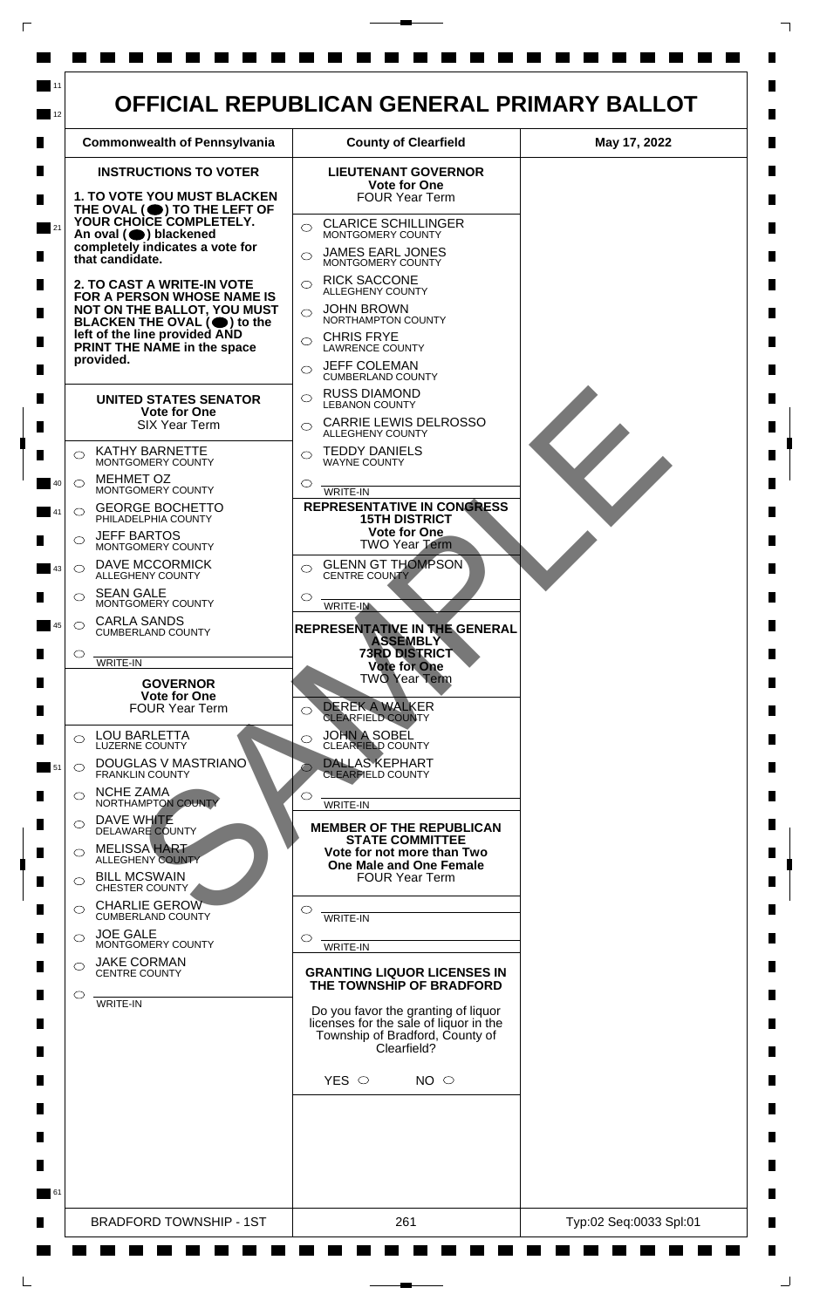|                                                                                                                                                                                                     | <b>Commonwealth of Pennsylvania</b>                                                                                                         | <b>County of Clearfield</b>                                                                                                                                                                                                                         | May 17, 2022 |
|-----------------------------------------------------------------------------------------------------------------------------------------------------------------------------------------------------|---------------------------------------------------------------------------------------------------------------------------------------------|-----------------------------------------------------------------------------------------------------------------------------------------------------------------------------------------------------------------------------------------------------|--------------|
|                                                                                                                                                                                                     | <b>INSTRUCTIONS TO VOTER</b><br><b>1. TO VOTE YOU MUST BLACKEN</b><br>THE OVAL $($ <sup>(</sup> ) TO THE LEFT OF<br>YOUR CHOICE COMPLETELY. | <b>LIEUTENANT GOVERNOR</b><br><b>Vote for One</b><br><b>FOUR Year Term</b><br><b>CLARICE SCHILLINGER</b>                                                                                                                                            |              |
| 21                                                                                                                                                                                                  | An oval (O) blackened<br>completely indicates a vote for<br>that candidate.                                                                 | $\bigcirc$<br>MONTGOMERY COUNTY<br>JAMES EARL JONES<br>◯<br>MONTGOMERY COUNTY                                                                                                                                                                       |              |
| 2. TO CAST A WRITE-IN VOTE<br>FOR A PERSON WHOSE NAME IS<br>NOT ON THE BALLOT, YOU MUST<br>BLACKEN THE OVAL (●) to the<br>left of the line provided AND<br>PRINT THE NAME in the space<br>provided. |                                                                                                                                             | <b>RICK SACCONE</b><br>$\bigcirc$<br><b>ALLEGHENY COUNTY</b><br><b>JOHN BROWN</b><br>$\bigcirc$<br>NORTHAMPTON COUNTY<br><b>CHRIS FRYE</b><br>$\bigcirc$<br><b>LAWRENCE COUNTY</b><br><b>JEFF COLEMAN</b><br>$\bigcirc$<br><b>CUMBERLAND COUNTY</b> |              |
|                                                                                                                                                                                                     | <b>UNITED STATES SENATOR</b><br><b>Vote for One</b><br><b>SIX Year Term</b>                                                                 | <b>RUSS DIAMOND</b><br>$\bigcirc$<br><b>LEBANON COUNTY</b><br><b>CARRIE LEWIS DELROSSO</b><br>$\bigcirc$<br><b>ALLEGHENY COUNTY</b>                                                                                                                 |              |
| ◯                                                                                                                                                                                                   | <b>KATHY BARNETTE</b><br>MONTGOMERY COUNTY<br><b>MEHMET OZ</b>                                                                              | <b>TEDDY DANIELS</b><br>$\bigcirc$<br><b>WAYNE COUNTY</b>                                                                                                                                                                                           |              |
| $\bigcirc$<br>40<br>$\circ$                                                                                                                                                                         | MONTGOMERY COUNTY<br><b>GEORGE BOCHETTO</b><br>PHILADELPHIA COUNTY                                                                          | ◯<br>WRITE-IN<br><b>REPRESENTATIVE IN CONGRESS</b><br><b>15TH DISTRICT</b><br>Vote for One                                                                                                                                                          |              |
| ◯<br>43                                                                                                                                                                                             | <b>JEFF BARTOS</b><br>MONTGOMERY COUNTY<br><b>DAVE MCCORMICK</b><br>ALLEGHENY COUNTY                                                        | <b>TWO Year Term</b><br><b>GLENN GT THOMPSON</b><br>$\bigcirc$<br>CENTRE COUNTY                                                                                                                                                                     |              |
|                                                                                                                                                                                                     | <b>SEAN GALE</b><br>MONTGOMERY COUNTY<br><b>CARLA SANDS</b>                                                                                 | ◯<br>WRITE-IN                                                                                                                                                                                                                                       |              |
| $\circ$<br>45<br>O                                                                                                                                                                                  | <b>CUMBERLAND COUNTY</b>                                                                                                                    | REPRESENTATIVE IN THE GENERAL<br><b>ASSEMBLY</b><br><b>73RD DISTRICT</b>                                                                                                                                                                            |              |
|                                                                                                                                                                                                     | <b>WRITE-IN</b><br><b>GOVERNOR</b><br>Vote for One<br><b>FOUR Year Term</b>                                                                 | <b>Vote for One</b><br><b>TWO Year Term</b><br><b>DEREK A WALKER</b><br>◯<br><b>CLEARFIELD COUNTY</b>                                                                                                                                               |              |
| $\bigcirc$<br>$\circ$                                                                                                                                                                               | <b>LOU BARLETTA</b><br><b>LUZERNE COUNTY</b><br>DOUGLAS V MASTRIANO                                                                         | <b>JOHN A SOBEL</b><br>$\bigcirc$<br><b>CLEARFIELD COUNTY</b><br><b>DALLAS KEPHART</b>                                                                                                                                                              |              |
| $\bigcirc$                                                                                                                                                                                          | <b>FRANKLIN COUNTY</b><br><b>NCHE ZAMA</b><br>NORTHAMPTON COUNTY                                                                            | <b>CLEARFIELD COUNTY</b><br>$\circ$<br><b>WRITE-IN</b>                                                                                                                                                                                              |              |
| $\bigcirc$                                                                                                                                                                                          | DAVE WHITE<br><b>DELAWARE COUNTY</b><br><b>MELISSA HART</b><br><b>ALLEGHENY COUNTY</b>                                                      | <b>MEMBER OF THE REPUBLICAN</b><br><b>STATE COMMITTEE</b><br>Vote for not more than Two<br>One Male and One Female                                                                                                                                  |              |
| $\bigcirc$<br>◯                                                                                                                                                                                     | <b>BILL MCSWAIN</b><br>CHESTER COUNTY<br><b>CHARLIE GEROW</b>                                                                               | <b>FOUR Year Term</b><br>◯                                                                                                                                                                                                                          |              |
| $\bigcirc$                                                                                                                                                                                          | <b>CUMBERLAND COUNTY</b><br><b>JOE GALE</b><br>MONTGOMERY COUNTY                                                                            | <b>WRITE-IN</b><br>$\circ$<br>WRITE-IN                                                                                                                                                                                                              |              |
| $\bigcirc$<br>$\circ$                                                                                                                                                                               | <b>JAKE CORMAN</b><br><b>CENTRE COUNTY</b>                                                                                                  | <b>GRANTING LIQUOR LICENSES IN</b><br>THE TOWNSHIP OF BRADFORD                                                                                                                                                                                      |              |
|                                                                                                                                                                                                     | <b>WRITE-IN</b>                                                                                                                             | Do you favor the granting of liquor<br>licenses for the sale of liquor in the<br>Township of Bradford, County of<br>Clearfield?                                                                                                                     |              |
|                                                                                                                                                                                                     |                                                                                                                                             | YES $\circ$<br>NO <sub>o</sub>                                                                                                                                                                                                                      |              |
|                                                                                                                                                                                                     |                                                                                                                                             |                                                                                                                                                                                                                                                     |              |
|                                                                                                                                                                                                     | <b>BRADFORD TOWNSHIP - 1ST</b>                                                                                                              | 261                                                                                                                                                                                                                                                 |              |

 $\Box$ 

 $\Box$